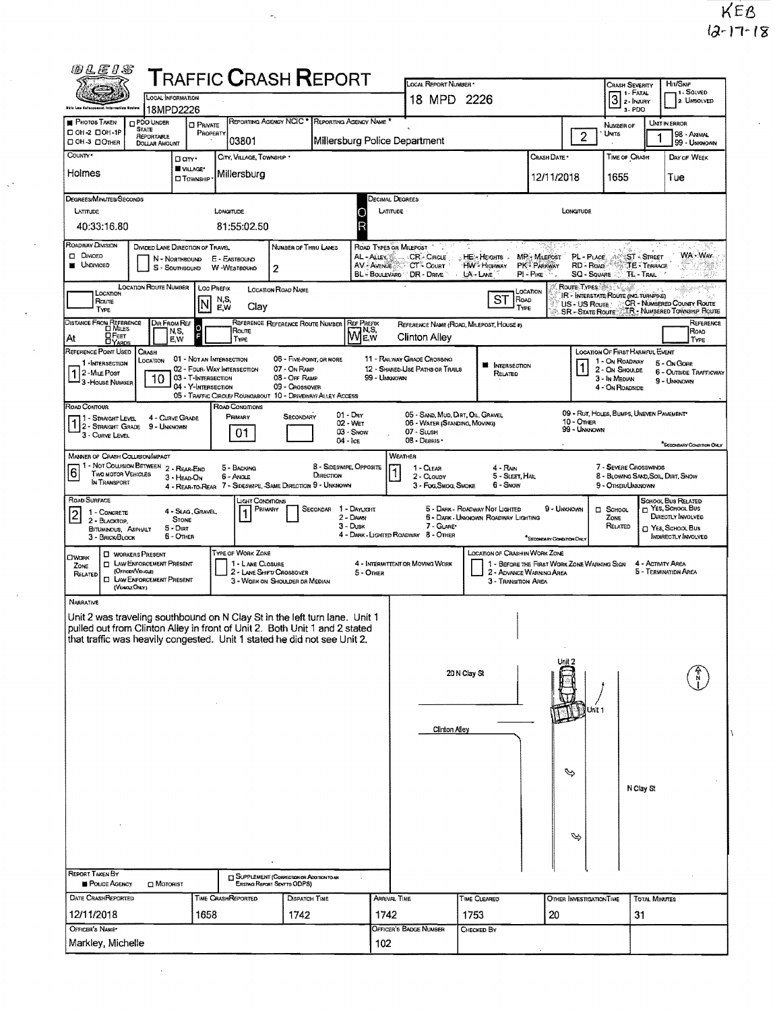| <b>@LEIS</b>                                                                                                                                                                                                                                      | <b>LOCAL INFORMATION</b>                                                                                                       |                                                                        | <b>T</b> RAFFIC <b>C</b> RASH <b>R</b> EPORT                                              |                                                                             |                                                          |                                                    | LOCAL REPORT NUMBER *<br>18 MPD 2226                                                              |                                                                       |                                                                         |                                                                   | CRASH SEVERITY<br>$31$ FATAL                                                                            |                                         | Hr/Skie<br>1-SOLVED                                                                                                    |
|---------------------------------------------------------------------------------------------------------------------------------------------------------------------------------------------------------------------------------------------------|--------------------------------------------------------------------------------------------------------------------------------|------------------------------------------------------------------------|-------------------------------------------------------------------------------------------|-----------------------------------------------------------------------------|----------------------------------------------------------|----------------------------------------------------|---------------------------------------------------------------------------------------------------|-----------------------------------------------------------------------|-------------------------------------------------------------------------|-------------------------------------------------------------------|---------------------------------------------------------------------------------------------------------|-----------------------------------------|------------------------------------------------------------------------------------------------------------------------|
| thic Law Calorzonoat Informative Exsten                                                                                                                                                                                                           | 18MPD2226                                                                                                                      |                                                                        |                                                                                           |                                                                             |                                                          |                                                    |                                                                                                   |                                                                       |                                                                         |                                                                   | 3-PDO                                                                                                   |                                         | 2. UNSOLVED                                                                                                            |
| <b>PHOTOS TAKEN</b><br>D OH -2 DOH -1P<br>ООН-З ДОЛНЕЯ                                                                                                                                                                                            | <b>DPDO UNDER</b><br><b>STATE</b><br><b>REPORTABLE</b><br><b>DOLLAR AMOUNT</b>                                                 | <b>O</b> PRIVATE<br>PROPERTY                                           | REPORTING AGENCY NCIC * REPORTING AGENCY NAME *<br>03801                                  |                                                                             |                                                          | Millersburg Police Department                      |                                                                                                   |                                                                       |                                                                         | $\overline{c}$                                                    | NUMBER OF<br>UNITS                                                                                      | UNIT IN ERROR                           | 98 - ANIMAL<br>99 - UNKNOWN                                                                                            |
| County*<br>Holmes                                                                                                                                                                                                                                 |                                                                                                                                | Darr.<br>VILLAGE*<br><b>I</b> Township                                 | CITY, VILLAGE, TOWNSHIP *<br>Millersburg                                                  |                                                                             |                                                          |                                                    |                                                                                                   |                                                                       | Crash Date *<br>12/11/2018                                              |                                                                   | <b>TIME OF CRASH</b><br>1655                                                                            |                                         | DAY OF WEEK<br>Tue                                                                                                     |
| Degrees/Minutes/Seconds                                                                                                                                                                                                                           |                                                                                                                                |                                                                        |                                                                                           |                                                                             |                                                          | Decimal Degrees                                    |                                                                                                   |                                                                       |                                                                         |                                                                   |                                                                                                         |                                         |                                                                                                                        |
| LATITUDE<br>40:33:16.80                                                                                                                                                                                                                           |                                                                                                                                |                                                                        | LONGITUDE<br>81:55:02.50                                                                  |                                                                             |                                                          | LATITUDE<br>C<br>R                                 |                                                                                                   |                                                                       |                                                                         | LONGITUDE                                                         |                                                                                                         |                                         |                                                                                                                        |
| ROADWAY DIVISION<br>Divided<br><b>UNDIVIDED</b>                                                                                                                                                                                                   | DIVIDED LANE DIRECTION OF TRAVEL                                                                                               | N - NORTHBOUND<br>$S -$ SouthBourd                                     | E - EASTBOUND<br>W-WESTBOUND                                                              | NUMBER OF THRU LANES<br>$\overline{2}$                                      |                                                          | ROAD TYPES OR MILEPOST<br>AL-ALLEY<br>AV. - AVENUE | CR-CIRCLE<br><b>CT - COURT</b><br>BL - BOULEVARD / DR - DRIVE                                     | $\therefore$ HE- Heights $\therefore$<br><b>HW-Higiway</b><br>LA-LANE | <b>MP</b> : Milerost<br><b>PK<sup>2</sup> PARKWAY</b><br>$PI = P_{IKE}$ | PL - PLACE.<br>RD - Roap<br>SQ - SQUARE                           | <b>TL-TRAIL</b>                                                                                         | <b>ST-STREET</b><br><b>TE - TERRACE</b> | WA - Way<br>38                                                                                                         |
| LOCATION<br>Route<br>TYPE                                                                                                                                                                                                                         | <b>LOCATION ROUTE NUMBER</b>                                                                                                   | Loc Prefix<br>N                                                        | n,s,<br>E,w<br>Clay                                                                       | <b>LOCATION ROAD NAME</b>                                                   |                                                          |                                                    |                                                                                                   | <b>ST</b><br>ROAD<br>TYPE                                             | LOCATION                                                                | Route: Types (65 Types)<br>US - US Route<br><b>SR</b> STATE ROUTE | IR - INTERSTATE ROUTE (INC. TURNPIKE)                                                                   |                                         | CR - NUMBERED COUNTY ROUTE<br>TR - NUMBERED TOWNSHIP ROUTE                                                             |
| DISTANCE FROM REFERENCE<br>$D$ FEET<br>At<br>$\Box$ YARDS                                                                                                                                                                                         | Dir From Ref<br>N,S,<br>E,W                                                                                                    | ö                                                                      | Route<br>TYPE                                                                             | REFERENCE REFERENCE ROUTE NUMBER                                            |                                                          | <b>REF PREEX</b><br>N,S,<br><b>MEW</b>             | Clinton Alley                                                                                     | REFERENCE NAME (ROAD, MILEPOST, HOUSE #)                              |                                                                         |                                                                   |                                                                                                         |                                         | REFERENCE<br>ROAD<br>TYPE                                                                                              |
| REFERENCE POINT USED<br>1 - INTERSECTION<br>2 - MiLE Post<br>3-HOUSE NUMBER                                                                                                                                                                       | CRASH<br>LOCATION<br>10                                                                                                        | 01 - NOT AN INTERSECTION<br>03 - T-INTERSECTION<br>04 - Y-INTERSECTION | 02 - FOUR-WAY INTERSECTION<br>05 - TRAFFIC CIRCLE/ ROUNDABOUT 10 - DRIVEWAY/ ALLEY ACCESS | 06 - FIVE-POINT, OR MORE<br>07 - On RAMP<br>08 - OFF RAMP<br>09 - CROSSOVER |                                                          | 99 - Unknown                                       | 11 - RAILWAY GRADE CROSSING<br>12 - SHARED-USE PATHS OR TRAILS                                    | <b>N</b> INTERSECTION<br>RELATED                                      |                                                                         |                                                                   | LOCATION OF FIRST HARMFUL EVENT<br>1 - On ROADWAY<br>2 - ON SHOULDE<br>3 - In Median<br>4 - ON ROADSIDE |                                         | 5 - On Gone<br>6 - OUTSIDE TRAFFICWAY<br>9 - UMONOWN                                                                   |
| ROAD CONTOUR<br>1 - Straight Level<br>1 2 - STRAIGHT LEVEL<br>3 - Curve Level                                                                                                                                                                     | 4 - CURVE GRADE<br>9 - Unknown                                                                                                 |                                                                        | ROAD CONDITIONS<br>PRIMARY<br>01                                                          | <b>SECONDARY</b>                                                            | 01 - Day<br>02 - Wet<br>04 - Ice                         | 03 - Snow                                          | 05 - SAND, MUD, DIRT, OIL, GRAVEL<br>06 - WATER (STANDING, MOVING)<br>07 - SLUSH<br>08 - DEBRIS * |                                                                       |                                                                         | 10 - OTHER<br>99 - UNKNOWN                                        | 09 - RUT, HOLES, BUMPS, UNEVEN PAVEMENT                                                                 |                                         |                                                                                                                        |
| MANNER OF CRASH COLLISION/IMPACT<br>1 - Not Collision Between 2 - Rear-End<br>6<br><b>TWO MOTOR VEHICLES</b><br>IN TRANSPORT                                                                                                                      |                                                                                                                                | 3 - HEAD-ON                                                            | 5 - Backing<br>6 - Anaue<br>4 - REAR-TO-REAR 7 - SIDESWIPE, SAME DIRECTION 9 - UNKNOWN    |                                                                             | 8 - Sideswipe, Opposite<br><b><i><u>DRECTION</u></i></b> |                                                    | WEATHER<br>1 - CLEAR<br>2 - CLoupy<br>3 - Fog.Smog. SMDKE                                         | 4 - Ran<br>5 - Sleet, Hal<br>6 - Snow                                 |                                                                         |                                                                   | 7 - SEVERE CROSSWINDS<br>8 - BLOWING SAND SOIL, DIRT, SNOW<br>9 - OTHER/UNKNOWN                         |                                         | "Secondary Condition Only                                                                                              |
| ROAD SURFACE<br>$\overline{2}$<br>1 - CONCRETE<br>2 - BLACKTOP,<br><b>BITUMINOUS, ASPHALT</b><br>3 - BRICK BLOCK                                                                                                                                  | $5 -$ Dirt                                                                                                                     | 4 - Slag, Gravel<br><b>STONE</b><br>$6 -$ OTHER                        | Light Conditions<br>PRIMARY                                                               |                                                                             | <b>SECONDAR</b>                                          | 1 - DAYUGHT<br>2 - Dawn<br>$3 - D$ usk             | 7 - GLARE*<br>4 - DARK - LIGHTED ROADWAY 8 - OTHER                                                | 5 - DARK - ROADWAY NOT LIGHTED<br>6 - DARK - UNKNOWN ROADWAY LIGHTING | 9 - Unknown<br>*SECONDARY CONDITION ONLY                                |                                                                   | <b>D</b> SCHOOL<br>ZONE<br>RELATED                                                                      |                                         | <b>SCHOOL BUS RELATED</b><br>P YES, SCHOOL BUS<br>DIRECTLY INVOLVED<br>T YES, SCHOOL BUS<br><b>INDIRECTLY INVOLVED</b> |
| <b>CIWORK</b><br>ZONE<br>Related<br>Ö.                                                                                                                                                                                                            | <b>C WORKERS PRESENT</b><br><b>T LAW ENFORCEMENT PRESENT</b><br>(Officer/Vehicle)<br>LAW ENFORCEMENT PRESENT<br>(VEHICLE ONLY) |                                                                        | TYPE OF WORK ZONE<br>1 - LANE CLOSURE<br>2 - LANE SHIFT/ CROSSOVER                        | 3 - WORK ON SHOULDER DR MEDIAN                                              |                                                          | 5 - OTHER                                          | 4 - INTERMITTENT OR MOVING WORK                                                                   | <b>LOCATION OF CRASH IN WORK ZONE</b><br>3 - TRANSITION AREA          | 1 - BEFORE THE FIRST WORK ZONE WARNING SIGN<br>2 - ADVANCE WARNING AREA |                                                                   |                                                                                                         | 4 - ACTIVITY AREA                       | 5 - TERMINATION AREA                                                                                                   |
| NARRATIVE<br>Unit 2 was traveling southbound on N Clay St in the left turn lane. Unit 1<br>pulled out from Clinton Alley in front of Unit 2. Both Unit 1 and 2 stated<br>that traffic was heavily congested. Unit 1 stated he did not see Unit 2. |                                                                                                                                |                                                                        |                                                                                           |                                                                             |                                                          |                                                    |                                                                                                   |                                                                       |                                                                         |                                                                   |                                                                                                         |                                         |                                                                                                                        |
|                                                                                                                                                                                                                                                   |                                                                                                                                |                                                                        |                                                                                           |                                                                             |                                                          |                                                    |                                                                                                   | 20 N Clay St                                                          |                                                                         | Jnit 1                                                            |                                                                                                         |                                         |                                                                                                                        |
|                                                                                                                                                                                                                                                   |                                                                                                                                |                                                                        |                                                                                           |                                                                             |                                                          |                                                    | <b>Clinton Alley</b>                                                                              |                                                                       |                                                                         |                                                                   |                                                                                                         |                                         |                                                                                                                        |
|                                                                                                                                                                                                                                                   |                                                                                                                                |                                                                        |                                                                                           |                                                                             |                                                          |                                                    |                                                                                                   |                                                                       | P                                                                       |                                                                   | N Clay St                                                                                               |                                         |                                                                                                                        |
|                                                                                                                                                                                                                                                   |                                                                                                                                |                                                                        |                                                                                           |                                                                             |                                                          |                                                    |                                                                                                   |                                                                       |                                                                         | ∾                                                                 |                                                                                                         |                                         |                                                                                                                        |
| <b>REPORT TAKEN BY</b>                                                                                                                                                                                                                            |                                                                                                                                |                                                                        |                                                                                           |                                                                             |                                                          |                                                    |                                                                                                   |                                                                       |                                                                         |                                                                   |                                                                                                         |                                         |                                                                                                                        |
| POLICE AGENCY                                                                                                                                                                                                                                     | $\Box$ Motorist                                                                                                                |                                                                        | <b>T SUPPLEMENT (CORRECTION OR ADDITION TO AN</b>                                         | Existing Report Sent to ODPS)                                               |                                                          |                                                    |                                                                                                   |                                                                       |                                                                         |                                                                   |                                                                                                         |                                         |                                                                                                                        |
| <b>DATE CRASHFLEPORTED</b>                                                                                                                                                                                                                        |                                                                                                                                |                                                                        | TIME CRASHREPORTED                                                                        | Dispatch Time                                                               |                                                          | ARRIVAL TIME                                       |                                                                                                   | TIME CLEARED                                                          |                                                                         | OTHER INVESTIGATION TIME                                          |                                                                                                         | <b>TOTAL MINUTES</b>                    |                                                                                                                        |
| 12/11/2018                                                                                                                                                                                                                                        |                                                                                                                                | 1658                                                                   |                                                                                           | 1742                                                                        |                                                          | 1742                                               |                                                                                                   | 1753                                                                  | 20                                                                      |                                                                   | 31                                                                                                      |                                         |                                                                                                                        |
| OFFICER'S NAME*<br>Markley, Michelle                                                                                                                                                                                                              |                                                                                                                                |                                                                        |                                                                                           |                                                                             |                                                          | 102                                                | OFFICER'S BADGE NUMBER                                                                            | CHECKED BY                                                            |                                                                         |                                                                   |                                                                                                         |                                         |                                                                                                                        |
|                                                                                                                                                                                                                                                   |                                                                                                                                |                                                                        |                                                                                           |                                                                             |                                                          |                                                    |                                                                                                   |                                                                       |                                                                         |                                                                   |                                                                                                         |                                         |                                                                                                                        |

 $\hat{\sigma}_k$ 

 $\hat{\mathcal{A}}$ 

 $\hat{\mathbf{r}}$ 

 $\ddot{\phantom{0}}$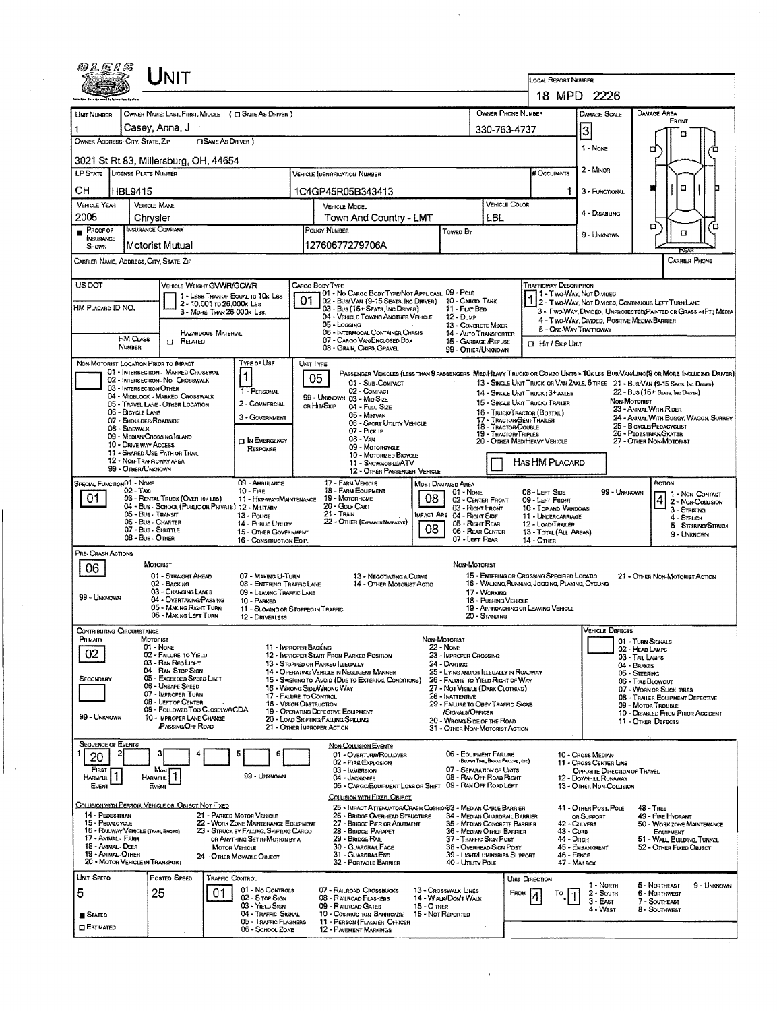|                                                                                                                   |                                                     | <b>NIT</b>                                                            |                           |                                                                                |                                                          |                                                                                                         |                                            |                                                                             |                                                  | <b>LOCAL REPORT NUMBER</b>                                                                      |                                                      |                        |                                                                                                                               |  |
|-------------------------------------------------------------------------------------------------------------------|-----------------------------------------------------|-----------------------------------------------------------------------|---------------------------|--------------------------------------------------------------------------------|----------------------------------------------------------|---------------------------------------------------------------------------------------------------------|--------------------------------------------|-----------------------------------------------------------------------------|--------------------------------------------------|-------------------------------------------------------------------------------------------------|------------------------------------------------------|------------------------|-------------------------------------------------------------------------------------------------------------------------------|--|
|                                                                                                                   |                                                     |                                                                       |                           |                                                                                |                                                          |                                                                                                         |                                            |                                                                             |                                                  |                                                                                                 | 18 MPD 2226                                          |                        |                                                                                                                               |  |
| UNT NUMBER                                                                                                        |                                                     |                                                                       |                           | OWNER NAME: LAST, FIRST, MIDDLE ( C SAME AS DRIVER )                           |                                                          |                                                                                                         |                                            |                                                                             | <b>OWNER PHONE NUMBER</b>                        |                                                                                                 |                                                      | DAMAGE SCALE           | DAMAGE AREA                                                                                                                   |  |
|                                                                                                                   | Casey, Anna, J                                      |                                                                       |                           |                                                                                |                                                          |                                                                                                         |                                            |                                                                             | 330-763-4737                                     |                                                                                                 |                                                      |                        | FRONT                                                                                                                         |  |
| OWNER ADDRESS: CITY, STATE, ZIP                                                                                   |                                                     |                                                                       | <b>CISAME AS DRIVER</b> ) |                                                                                |                                                          |                                                                                                         |                                            |                                                                             |                                                  |                                                                                                 | 3                                                    |                        |                                                                                                                               |  |
|                                                                                                                   |                                                     |                                                                       |                           |                                                                                |                                                          |                                                                                                         |                                            |                                                                             |                                                  |                                                                                                 | 1 - None                                             |                        | □                                                                                                                             |  |
| 3021 St Rt 83, Millersburg, OH, 44654                                                                             |                                                     |                                                                       |                           |                                                                                |                                                          |                                                                                                         |                                            |                                                                             |                                                  |                                                                                                 |                                                      |                        |                                                                                                                               |  |
| LP STATE LICENSE PLATE NUMBER                                                                                     |                                                     |                                                                       |                           |                                                                                |                                                          | <b>VEHICLE IDENTIFICATION NUMBER</b>                                                                    |                                            |                                                                             |                                                  | # Occupants                                                                                     |                                                      | 2 - Minor              |                                                                                                                               |  |
| OН                                                                                                                | HBL9415                                             |                                                                       |                           |                                                                                |                                                          | 1C4GP45R05B343413                                                                                       |                                            |                                                                             |                                                  |                                                                                                 | 1                                                    | 3 - FUNCTIONAL         | n                                                                                                                             |  |
| <b>VEHICLE YEAR</b>                                                                                               | <b>VEHICLE MAKE</b>                                 |                                                                       |                           |                                                                                |                                                          | <b>VEHICLE MODEL</b>                                                                                    |                                            |                                                                             | VEHICLE COLOR                                    |                                                                                                 |                                                      |                        |                                                                                                                               |  |
| 2005                                                                                                              | Chrysler                                            |                                                                       |                           |                                                                                |                                                          | Town And Country - LMT                                                                                  |                                            |                                                                             | LBL                                              |                                                                                                 |                                                      | 4 - Disabling          |                                                                                                                               |  |
| $P_{\text{ROOF OF}}$<br>NSURANCE                                                                                  | <b>INSURANCE COMPANY</b>                            |                                                                       |                           |                                                                                |                                                          | POLICY NUMBER                                                                                           |                                            | Towed By                                                                    |                                                  |                                                                                                 |                                                      | 9 - UNKNOWN            | σ<br>$\Box$                                                                                                                   |  |
| SHOWN                                                                                                             | Motorist Mutual                                     |                                                                       |                           |                                                                                |                                                          | 12760677279706A                                                                                         |                                            |                                                                             |                                                  |                                                                                                 |                                                      |                        |                                                                                                                               |  |
| CARRIER NAME, ADDRESS, CITY, STATE, ZIP                                                                           |                                                     |                                                                       |                           |                                                                                |                                                          |                                                                                                         |                                            |                                                                             |                                                  |                                                                                                 |                                                      |                        | <b>CARRIER PHONE</b>                                                                                                          |  |
|                                                                                                                   |                                                     |                                                                       |                           |                                                                                |                                                          |                                                                                                         |                                            |                                                                             |                                                  |                                                                                                 |                                                      |                        |                                                                                                                               |  |
| US DOT                                                                                                            |                                                     | VEHICLE WEIGHT GWWR/GCWR                                              |                           |                                                                                |                                                          | CARGO BODY TYPE<br>01 - No Cargo Body Type/Not Applicabl. 09 - Pole                                     |                                            |                                                                             |                                                  | Trafficway Description                                                                          | 11 - Two-Way, Not Divided                            |                        |                                                                                                                               |  |
| 1 - LESS THAN OR EQUAL TO 10K LBS<br>2 - 10,001 to 26,000k Las<br>HM PLACARD ID NO.<br>3 - MORE THAN 26,000K LBS. |                                                     |                                                                       | 01                        | 02 Bust Van (9-15 Seats, Inc Driver) 10 - Cargo Tank                           |                                                          |                                                                                                         |                                            |                                                                             |                                                  |                                                                                                 | 1 2- TWO-WAY, NOT DIVIDED, CONTINUOUS LEFT TURN LANE |                        |                                                                                                                               |  |
|                                                                                                                   |                                                     |                                                                       |                           |                                                                                |                                                          | 03 - Bus (16+ Seats, Inc Driver)<br>04 - VEHICLE TOWING ANOTHER VEHICLE                                 |                                            | 11 - FLAT BED<br>$12 -$ Dump                                                |                                                  |                                                                                                 |                                                      |                        | 3 - Two-Way, Divideo, UNPROTECTED (PAINTED OR GRASS >4FT.) MEDIA<br>4 - Two-Way, Divided, Positive Median Barrier             |  |
|                                                                                                                   |                                                     |                                                                       | <b>HAZARDOUS MATERIAL</b> |                                                                                |                                                          | 05 - Logging<br>06 - INTERMODAL CONTAINER CHASIS                                                        |                                            | 13 - CONCRETE MIXER<br>14 - AUTO TRANSPORTER                                |                                                  |                                                                                                 | 5 - ONE-WAY TRAFFICWAY                               |                        |                                                                                                                               |  |
| HM CLASS<br>$\Box$ Related<br><b>NUMBER</b>                                                                       |                                                     |                                                                       |                           |                                                                                | 07 - CARGO VAN ENCLOSED BOX<br>08 - GRAIN, CHIPS, GRAVEL |                                                                                                         | 15 - GARBAGE /REFUSE<br>99 - OTHER/UNKNOWN |                                                                             | <b>CI HIT / SKIP UNIT</b>                        |                                                                                                 |                                                      |                        |                                                                                                                               |  |
| NON-MOTORIST LOCATION PRIOR TO IMPACT                                                                             |                                                     |                                                                       |                           | Type or Use                                                                    |                                                          |                                                                                                         |                                            |                                                                             |                                                  |                                                                                                 |                                                      |                        |                                                                                                                               |  |
|                                                                                                                   |                                                     | 01 - INTERSECTION - MARKED CROSSWAL                                   |                           | 1                                                                              | UNIT TYPE                                                |                                                                                                         |                                            |                                                                             |                                                  |                                                                                                 |                                                      |                        | PASSENGER VEHICLES (LESS THAN 9 PASSENGERS MEDIMEAVY TRUCKE OR COMBO UNITS > 10K LES BUS/VAN/LIMO(9 OR MORE INCLUDING DRIVER) |  |
|                                                                                                                   | 03 - INTERSECTION OTHER                             | 02 - INTERSECTION - NO CROSSWALK                                      |                           | 1 - PERSONAL                                                                   | 05                                                       | 01 - Sub-COMPACT<br>02 - COMPACT                                                                        |                                            |                                                                             |                                                  |                                                                                                 |                                                      |                        | 13 - SINGLE UNIT TRUCK OR VAN ZAXLE, 6 TIRES 21 - BUS/VAN (9-15 SEATS, INC DRIVER)                                            |  |
|                                                                                                                   |                                                     | 04 - MIDBLOCK - MARKED CROSSWALK<br>05 - TRAVEL LANE - OTHER LOCATION |                           | 2 - COMMERCIAL                                                                 |                                                          | 99 - UNKNOWN 03 - MID SIZE                                                                              |                                            |                                                                             |                                                  | 14 - SINGLE UNIT TRUCK: 3+ AXLES<br>15 - SINGLE UNIT TRUCK/TRAILER                              |                                                      |                        | 22 - Bus (16+ Seats, IND DRIVER)<br>NON-MOTORIST                                                                              |  |
|                                                                                                                   | 06 - BICYCLE LANE                                   |                                                                       |                           | 3 - GOVERNMENT                                                                 |                                                          | or Hit/Skip<br>04 - Fun Size<br>05 MINIVAN                                                              |                                            |                                                                             |                                                  | 16 - TRUCK/TRACTOR (BOBTAIL)                                                                    |                                                      |                        | 23 - ANIMAL WITH RIDER<br>24 - ANIMAL WITH BUGGY, WAGON, SURREY                                                               |  |
|                                                                                                                   | 07 - SHOULDER/ROADSIDE<br>08 - Sldewalk             |                                                                       |                           |                                                                                |                                                          | 06 - SPORT UTILITY VEHICLE<br>07 - PICKUP                                                               |                                            |                                                                             | 17 - Tractor/Semi-Trailer<br>18 - Tractor/Double |                                                                                                 |                                                      |                        | 25 - BICYCLE/PEDACYCLIST                                                                                                      |  |
|                                                                                                                   | 09 - MEDIAN/CROSSING SLAND<br>10 - Drive way Access |                                                                       |                           | <b>MI IN EMERGENCY</b>                                                         |                                                          | 08 VAN                                                                                                  |                                            |                                                                             | 19 - TRACTOR/TRIPLES                             | 20 - OTHER MEDIHEAVY VEHICLE                                                                    |                                                      |                        | 26 - PEDESTRIAN/SKATER<br>27 - OTHER NON-MOTORIST                                                                             |  |
|                                                                                                                   | 11 - SHARED-USE PATH OR TRAIL                       |                                                                       |                           | RESPONSE                                                                       |                                                          | 09 - MOTORCYCLE<br>10 - MOTORIZED BICYCLE                                                               |                                            |                                                                             |                                                  |                                                                                                 |                                                      |                        |                                                                                                                               |  |
|                                                                                                                   | 12 - NON-TRAFFICWAY AREA<br>99 - OTHER/UNKNOWN      |                                                                       |                           |                                                                                |                                                          | 11 - SNOWMOSILE/ATV<br>12 - OTHER PASSENGER VEHICLE                                                     |                                            |                                                                             |                                                  | HAS HM PLACARD                                                                                  |                                                      |                        |                                                                                                                               |  |
| SPECIAL FUNCTION <sup>01</sup> - NONE                                                                             |                                                     |                                                                       |                           | 09 - AMBULANCE                                                                 |                                                          | 17 - FARM VEHICLE                                                                                       |                                            | MOST DAMAGED AREA                                                           |                                                  |                                                                                                 |                                                      |                        | Аспом                                                                                                                         |  |
| 01                                                                                                                | $02 - \gamma$ AXI                                   | 03 - RENTAL TRUCK (OVER 10K LBS)                                      |                           | $10 -$ Fine                                                                    |                                                          | <b>18 - FARM EQUIPMENT</b><br>11 - HIGHWAY/MAINTENANCE 19 - MOTORHOME                                   | 08                                         | 01 - NONE<br>02 - CENTER FRONT                                              |                                                  | 08 - LEFT SIDE<br>09 LEFT FRONT                                                                 |                                                      | 99 - UNKNOWN           | 1 1 - Non Contact<br>2 - Non-Couusion                                                                                         |  |
|                                                                                                                   | 05 - Bus - Transit                                  | 04 - Bus - School (Public or Private) 12 - Military                   |                           | 13 - Pouce                                                                     |                                                          | 20 - Golf CART<br>$21 -$ Train                                                                          |                                            | 03 - Right Front<br>IMPACT ARE 04 - RIGHT SIDE                              |                                                  | 10 - TOP AND WINDOWS                                                                            |                                                      |                        | 3 - STRIKING                                                                                                                  |  |
|                                                                                                                   | 06 - Bus - CHARTER<br>07 - Bus - SHUTTLE            |                                                                       |                           | 14 - PUBLIC UTILITY                                                            |                                                          | 22 - OTHER (EXPLANIN NARRATIVE)                                                                         | 08                                         | 05 - Right REAR                                                             |                                                  | 11 - UNDERGARRIAGE<br>12 - LOADITRAILER                                                         |                                                      |                        | 4 - STRUCK<br>5 - STRIKING/STRUCK                                                                                             |  |
|                                                                                                                   | 08 - Bus - Onier                                    |                                                                       |                           | 15 - OTHER GOVERNMENT<br>16 - CONSTRUCTION EQIP.                               |                                                          |                                                                                                         |                                            | 06 - REAR CENTER<br>07 - LEFT REAR                                          |                                                  | 13 - TOTAL (ALL AREAS)<br>$14 -$ OTHER                                                          |                                                      |                        | 9 - Unknown                                                                                                                   |  |
| PRE- CRASH ACTIONS                                                                                                |                                                     |                                                                       |                           |                                                                                |                                                          |                                                                                                         |                                            |                                                                             |                                                  |                                                                                                 |                                                      |                        |                                                                                                                               |  |
| 06                                                                                                                | MOTORIST                                            |                                                                       |                           |                                                                                |                                                          |                                                                                                         |                                            | NON-MOTORIST                                                                |                                                  |                                                                                                 |                                                      |                        |                                                                                                                               |  |
|                                                                                                                   |                                                     | 01 - STRAIGHT AHEAD<br>02 - BACKING                                   |                           | 07 - MAKING U-TURN<br>08 - ENTERING TRAFFIC LANE                               |                                                          | 13 - NEGOTIATING A CURVE<br>14 - OTHER MOTORIST ACTIO                                                   |                                            |                                                                             |                                                  | 15 - ENTERING OR CROSSING SPECIFIED LOCATIO<br>16 - WALKING, RUNNING, JOGGING, PLAYING, CYCLING |                                                      |                        | 21 - OTHER NON-MOTORIST ACTION                                                                                                |  |
| 99 - Unsonown                                                                                                     |                                                     | 03 - CHANGING LANES<br>04 - OVERTAKING/PASSING                        |                           | 09 - LEAVING TRAFFIC LANE<br>10 - PARKED                                       |                                                          |                                                                                                         |                                            |                                                                             | 17 - WORKING<br>18 - PUSHING VEHICLE             |                                                                                                 |                                                      |                        |                                                                                                                               |  |
|                                                                                                                   |                                                     | 05 - MAKING RIGHT TURN<br>06 - MAKING LEFT TURN                       |                           | 11 - SLOWING OR STOPPED IN TRAFFIC                                             |                                                          |                                                                                                         |                                            |                                                                             |                                                  | 19 - APPROACHING OR LEAVING VEHICLE                                                             |                                                      |                        |                                                                                                                               |  |
|                                                                                                                   |                                                     |                                                                       |                           | 12 - DRIVERLESS                                                                |                                                          |                                                                                                         |                                            |                                                                             | 20 - Standing                                    |                                                                                                 |                                                      |                        |                                                                                                                               |  |
| CONTRIBUTING CIRCUMSTANCE<br>PRIMARY                                                                              | MOTORIST                                            |                                                                       |                           |                                                                                |                                                          |                                                                                                         |                                            | NON-MOTORIST                                                                |                                                  |                                                                                                 |                                                      | VEHICLE DEFECTS        | 01 - TURN SIGNALS                                                                                                             |  |
| 02                                                                                                                | $01 - None$                                         | 02 - FALURE TO YIELD                                                  |                           |                                                                                | 11 - IMPROPER BACKING                                    | 12 - IMPROPER START FROM PARKED POSITION                                                                |                                            | <b>22 - NONE</b><br>23 - IMPROPER CROSSING                                  |                                                  |                                                                                                 |                                                      |                        | 02 - HEAD LAMPS<br>03 TAIL LAMPS                                                                                              |  |
|                                                                                                                   |                                                     | 03 - Ray Rea Light<br>04 - RAN STOP SIGN                              |                           |                                                                                |                                                          | 13 - Stopped or Parked LLEGALLY                                                                         |                                            | 24 - DARTING                                                                |                                                  |                                                                                                 |                                                      |                        | 04 - BRAKES                                                                                                                   |  |
| <b>SECONDARY</b>                                                                                                  |                                                     | 05 - Exceeded Speed Limit                                             |                           |                                                                                |                                                          | <b>14 - OPERATING VEHICLE IN NEGLIGENT MANNER</b><br>15 - SWERING TO AVOID (DUE TO EXTERNAL CONDITIONS) |                                            | 25 - LYING AND/OR ILLEGALLY IN ROADWAY<br>26 - FALURE TO YIELD RIGHT OF WAY |                                                  |                                                                                                 |                                                      |                        | 05 - Steering<br>06 - TIRE BLOWOUT                                                                                            |  |
|                                                                                                                   |                                                     | 06 - UNSAPE SPEED<br>07 - IMPROPER TURN                               |                           |                                                                                | 17 - FALURE TO CONTROL                                   | 16 - WRONG SIDE/WRONG WAY                                                                               |                                            | 27 - NOT VISIBLE (DARK CLOTHING)<br>28 - INATTENTIVE                        |                                                  |                                                                                                 |                                                      |                        | 07 - WORN OR SUCK TIRES<br>08 - TRAILER EQUIPMENT DEFECTIVE                                                                   |  |
|                                                                                                                   |                                                     | 08 - LEFT OF CENTER<br>09 - FOLLOWED TOO CLOSELY/ACDA                 |                           |                                                                                | <b>18 - VISION OBSTRUCTION</b>                           | 19 - OPERATING DEFECTIVE EQUIPMENT                                                                      |                                            | 29 - FAILURE TO OBEY TRAFFIC SIGNS<br>/SIGNALS/OFFICER                      |                                                  |                                                                                                 |                                                      |                        | 09 - MOTOR TROUBLE                                                                                                            |  |
| 99 - UNKNOWN                                                                                                      |                                                     | 10 - IMPROPER LANE CHANGE                                             |                           |                                                                                |                                                          | 20 - LOAD SHIFTING/FALUNG/SPILLING                                                                      |                                            | 30 - WRONG SIDE OF THE ROAD                                                 |                                                  |                                                                                                 |                                                      |                        | 10 - DISABLED FROM PRIOR ACCIDENT<br>11 - OTHER DEFECTS                                                                       |  |
|                                                                                                                   |                                                     | <b>PASSING OFF ROAD</b>                                               |                           |                                                                                |                                                          | 21 - OTHER IMPROPER ACTION                                                                              |                                            | 31 - OTHER NON-MOTORIST ACTION                                              |                                                  |                                                                                                 |                                                      |                        |                                                                                                                               |  |
| <b>SEQUENCE OF EVENTS</b>                                                                                         |                                                     |                                                                       |                           |                                                                                |                                                          | <b>NON-COLLISION EVENTS</b>                                                                             |                                            |                                                                             |                                                  |                                                                                                 |                                                      |                        |                                                                                                                               |  |
| 20                                                                                                                |                                                     |                                                                       |                           |                                                                                |                                                          | 01 - Overturn/ROLLOVER<br>02 - FIRE/EXPLOSION                                                           |                                            | 06 - EQUIPMENT FAILURE                                                      | (BLOWN TIRE, BRAXE FALLIRE, ETC)                 |                                                                                                 | 10 - Cross Median<br>11 - CROSS CENTER LINE          |                        |                                                                                                                               |  |
| FIRST<br>HARMFUL <sup>1</sup>                                                                                     | Most                                                | Most                                                                  |                           | 99 - UNKNOWN                                                                   |                                                          | 03 - LUMERSION<br>04 - JACKKNEE                                                                         |                                            | 07 - SEPARATION OF UNITS<br>08 - RAN OFF ROAD RIGHT                         |                                                  |                                                                                                 | 12 - DOWNHILL RUNAWAY                                |                        | <b>OPPOSITE DIRECTION OF TRAVEL</b>                                                                                           |  |
| <b>EVENT</b>                                                                                                      | EVENT                                               |                                                                       |                           |                                                                                |                                                          | 05 - CARGO/EQUIPMENT LOSS OR SHIFT 09 - RAN OFF ROAD LEFT                                               |                                            |                                                                             |                                                  |                                                                                                 | <b>13 - OTHER NON-COLLISION</b>                      |                        |                                                                                                                               |  |
|                                                                                                                   |                                                     | COLLISION WITH PERSON, VEHICLE OR OBJECT NOT FIXED                    |                           |                                                                                |                                                          | COLLISION WITH FIXED, OBJECT<br>25 - IMPACT ATTENUATOR/CRASH CUSHION33 - MEDIAN CABLE BARRIER           |                                            |                                                                             |                                                  |                                                                                                 | 41 - OTHER POST, POLE                                |                        | $48 - TREE$                                                                                                                   |  |
|                                                                                                                   |                                                     |                                                                       |                           | 21 - PARKED MOTOR VEHICLE                                                      |                                                          | 26 - BRIDGE OVERHEAD STRUCTURE                                                                          |                                            | 34 - MEDIAN GUARDRAIL BARRIER                                               |                                                  |                                                                                                 | OR SUPPORT                                           |                        | 49 - FIRE HYDRANT                                                                                                             |  |
| 14 - PEDESTRIAN                                                                                                   |                                                     |                                                                       |                           | 22 - WORK ZONE MAINTENANCE EQUIPMENT<br>23 - STRUCK BY FALLING, SHIFTING CARGO |                                                          | 27 - BRIDGE PIER OR ABUTMENT<br>28 - Bridge Parapet                                                     |                                            | 35 - MEDIAN CONCRETE BARRIER<br>36 - MEDIAN OTHER BARRIER                   |                                                  |                                                                                                 | 42 - CULVERT<br>43 - Curb                            |                        | 50 - WORK ZONE MAINTENANCE<br>EQUIPMENT                                                                                       |  |
| 15 - PEDALCYCLE                                                                                                   | 16 - RAILWAY VEHICLE (TANN, ENGINE)                 |                                                                       | <b>MOTOR VEHICLE</b>      | OR ANYTHING SET IN MOTION BY A                                                 |                                                          | 29 - Bridge Rail<br>30 - GUARDRAIL FACE                                                                 |                                            | 37 - TRAFFIC SIGN POST<br>38 - Overhead Sign Post                           |                                                  |                                                                                                 | 44 - Олон<br>45 - Embankment                         |                        | 51 - WALL BUILDING, TUNNEL<br>52 - OTHER FIXED OBJECT                                                                         |  |
| 17 - Animal - Farm<br>18 - AMMAL - DEER                                                                           |                                                     |                                                                       |                           | 24 - OTHER MOVABLE OBJECT                                                      |                                                          | 31 - GUARDRAILEND                                                                                       |                                            | 39 - LIGHT/LUMINARIES SUPPORT                                               |                                                  |                                                                                                 | 46 - FENCE                                           |                        |                                                                                                                               |  |
| 19 - ANIMAL OTHER                                                                                                 |                                                     |                                                                       |                           |                                                                                |                                                          | 32 - PORTABLE BARRIER                                                                                   |                                            | 40 - UTILITY POLE                                                           |                                                  |                                                                                                 | 47 - Malbox                                          |                        |                                                                                                                               |  |
|                                                                                                                   | 20 - MOTOR VEHICLE IN TRANSPORT                     |                                                                       |                           |                                                                                |                                                          |                                                                                                         |                                            |                                                                             |                                                  |                                                                                                 |                                                      |                        |                                                                                                                               |  |
| <b>UNIT SPEED</b>                                                                                                 |                                                     | POSTEO SPEED                                                          | TRAFFIC CONTROL           |                                                                                |                                                          |                                                                                                         |                                            |                                                                             |                                                  | Unit Direction                                                                                  |                                                      | 1 - NORTH              | 5 - NORTHEAST<br>9 - Uniknown                                                                                                 |  |
| 5                                                                                                                 | 25                                                  |                                                                       | 01                        | 01 - No Contracts<br>02 - S TOP SIGN                                           |                                                          | 07 - RALROAD CROSSBUCKS<br>08 - RAILROAD FLASHERS                                                       |                                            | 13 - Crosswalk Lines<br>14 - WALK/DON'T WALK                                | FROM                                             | To                                                                                              | 1                                                    | 2 - South              | 6 - NORTHWEST                                                                                                                 |  |
|                                                                                                                   |                                                     |                                                                       |                           | 03 - YIELD Stan                                                                |                                                          | 09 - RAILROAD GATES                                                                                     | 15 - О тнея                                |                                                                             |                                                  |                                                                                                 |                                                      | $3 - EAST$<br>4 - West | 7 - SOUTHEAST<br>8 - SOUTHMEST                                                                                                |  |
| <b>STATED</b><br><b>O</b> ESTIMATED                                                                               |                                                     |                                                                       |                           | 04 - TRAFFIC SIGNAL<br>05 - TRAFFIC FLASHERS<br>06 - SCHOOL ZONE               |                                                          | 10 - Costruction Barricade<br>11 - PERSON (FLAGGER, OFFICER<br><b>12 - PAVEMENT MARKINGS</b>            |                                            | 16 - Not Reported                                                           |                                                  |                                                                                                 |                                                      |                        |                                                                                                                               |  |

 $\mathcal{A}^{(1)}$  .

 $\label{eq:2} \frac{1}{2} \int_{\mathbb{R}^3} \frac{1}{\sqrt{2}} \, \mathrm{d} \mu \, \mathrm{d} \mu \, \mathrm{d} \mu \, \mathrm{d} \mu \, \mathrm{d} \mu \, \mathrm{d} \mu \, \mathrm{d} \mu \, \mathrm{d} \mu \, \mathrm{d} \mu \, \mathrm{d} \mu \, \mathrm{d} \mu \, \mathrm{d} \mu \, \mathrm{d} \mu \, \mathrm{d} \mu \, \mathrm{d} \mu \, \mathrm{d} \mu \, \mathrm{d} \mu \, \mathrm{d} \mu \, \mathrm{d} \mu \, \mathrm{d} \mu \, \mathrm$ 

 $\mathcal{A}^{(1)}$ 

 $\hat{A}^{(1)}$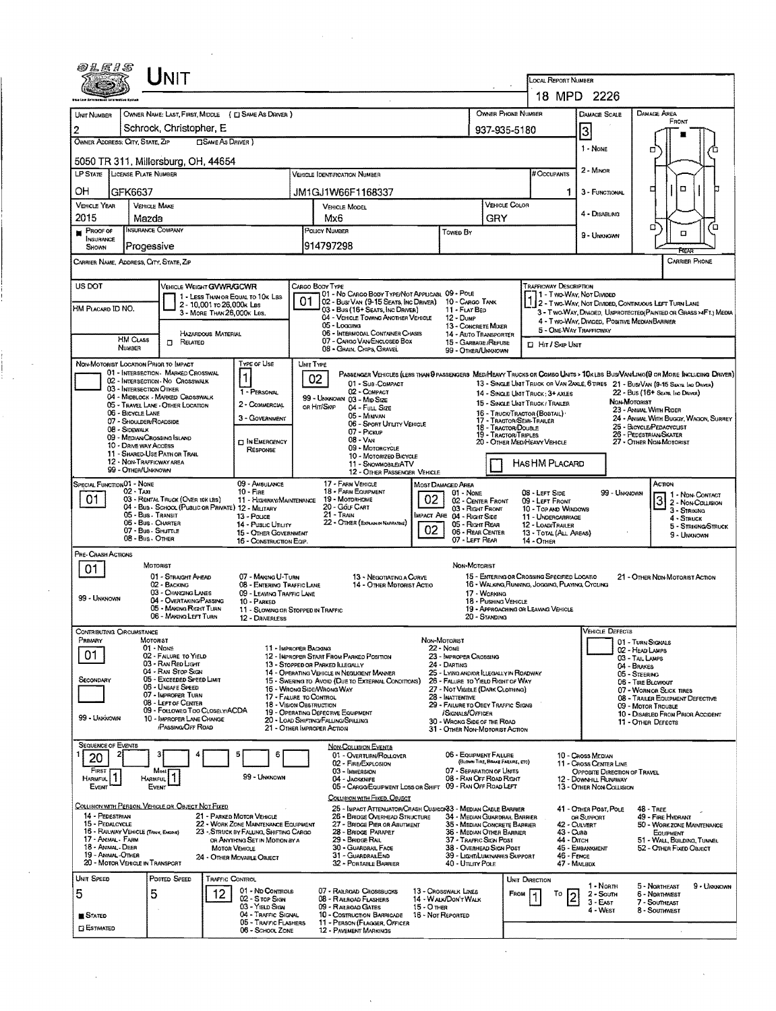|                                       | 60 L F 1 S<br>UNIT                                                                      |                                                                          |                                                                   |                                                                                                                             |                                           |                                                                       | LOCAL REPORT NUMBER                                                                |                                                                                                                 |                                                                                                                                                                                                                                                                                              |
|---------------------------------------|-----------------------------------------------------------------------------------------|--------------------------------------------------------------------------|-------------------------------------------------------------------|-----------------------------------------------------------------------------------------------------------------------------|-------------------------------------------|-----------------------------------------------------------------------|------------------------------------------------------------------------------------|-----------------------------------------------------------------------------------------------------------------|----------------------------------------------------------------------------------------------------------------------------------------------------------------------------------------------------------------------------------------------------------------------------------------------|
|                                       |                                                                                         |                                                                          |                                                                   |                                                                                                                             |                                           |                                                                       |                                                                                    | 18 MPD 2226                                                                                                     |                                                                                                                                                                                                                                                                                              |
| UNIT NUMBER<br>2                      | OWNER NAME: LAST, FIRST, MIDDLE<br>Schrock, Christopher, E.                             | ( CI SAME AS DRIVER )                                                    |                                                                   |                                                                                                                             |                                           | OWNER PHONE NUMBER                                                    |                                                                                    | DAMAGE SCALE                                                                                                    | DAMAGE AREA<br>FRONT                                                                                                                                                                                                                                                                         |
| OWNER ADDRESS: CITY, STATE, ZIP       | □ SAME AS DRIVER )                                                                      |                                                                          |                                                                   |                                                                                                                             |                                           | 937-935-5180                                                          |                                                                                    | 3                                                                                                               |                                                                                                                                                                                                                                                                                              |
|                                       | 5050 TR 311, Millersburg, OH, 44654                                                     |                                                                          |                                                                   |                                                                                                                             |                                           |                                                                       |                                                                                    | 1 - NONE                                                                                                        | о                                                                                                                                                                                                                                                                                            |
|                                       | LP STATE LICENSE PLATE NUMBER                                                           |                                                                          |                                                                   | <b>VEHICLE IDENTIFICATION NUMBER</b>                                                                                        |                                           |                                                                       | # Occupants                                                                        | 2 - MINOR                                                                                                       |                                                                                                                                                                                                                                                                                              |
| OН                                    | GFK6637                                                                                 |                                                                          |                                                                   | JM1GJ1W66F1168337                                                                                                           |                                           |                                                                       | 1                                                                                  | 3 - FUNCTIONAL                                                                                                  | □                                                                                                                                                                                                                                                                                            |
| <b>VEHICLE YEAR</b><br>2015           | <b>VEHICLE MAKE</b><br>Mazda                                                            |                                                                          | Mx6                                                               | VEHICLE MODEL                                                                                                               |                                           | VEHICLE COLOR<br>GRY                                                  |                                                                                    | 4 - Disabling                                                                                                   |                                                                                                                                                                                                                                                                                              |
| PROOF OF                              | <b>NSURANCE COMPANY</b>                                                                 |                                                                          | POLICY NUMBER                                                     |                                                                                                                             | Towed By                                  |                                                                       |                                                                                    | 9 - Undunown                                                                                                    | □                                                                                                                                                                                                                                                                                            |
| INSURANCE<br>SHOWN                    | Progessive                                                                              |                                                                          | 914797298                                                         |                                                                                                                             |                                           |                                                                       |                                                                                    |                                                                                                                 |                                                                                                                                                                                                                                                                                              |
|                                       | CARRIER NAME, ADDRESS, CITY, STATE, ZIP                                                 |                                                                          |                                                                   |                                                                                                                             |                                           |                                                                       |                                                                                    |                                                                                                                 | CARRIER PHONE                                                                                                                                                                                                                                                                                |
| US DOT                                | VEHICLE WEIGHT GWWR/GCWR                                                                |                                                                          | Cargo Body Type                                                   |                                                                                                                             |                                           |                                                                       | TRAFFICWAY DESCRIPTION                                                             |                                                                                                                 |                                                                                                                                                                                                                                                                                              |
|                                       | 2 - 10,001 ro 26,000k Las                                                               | 1 - LESS THAN OR EQUAL TO 10K LBS                                        | 01                                                                | 101 - No CARGO BODY TYPE/NOT APPLICABL 09 - POLE<br>02 - Busi Van (9-15 Seats, Inc Driver).                                 | 10 - Cargo Tank                           |                                                                       | T1 - Two-Way, Not Divideo                                                          | 2 - Two-Way, Not Divided, Continuous LEFT TURN LANE                                                             |                                                                                                                                                                                                                                                                                              |
| HM PLACARD ID NO.                     | 3 - MORE THAN 26,000K LBS.                                                              |                                                                          |                                                                   | 03 - Bus (16+ Seats, Inc Driver)<br>04 - VEHICLE TOWING ANOTHER VEHICLE                                                     | 11 - FLAT BED<br>$12 - D$ uMP             |                                                                       |                                                                                    | 3 - Two-Way, Divideo, Unprotected Painted or Grass >4FT.) Media<br>4 - Two-Way, Divided, Positive MedianBarrier |                                                                                                                                                                                                                                                                                              |
|                                       | HAZARDOUS MATERIAL<br><b>HM CLASS</b>                                                   |                                                                          |                                                                   | 05 - Logging<br>06 - INTERMODAL CONTAINER CHASIS<br>07 - CARGO VAN/ENCLOSED BOX                                             |                                           | 13 - CONCRETE MIXER<br>14 - AUTO TRANSPORTER                          | 5 - ONE-WAY TRAFFICWAY                                                             |                                                                                                                 |                                                                                                                                                                                                                                                                                              |
|                                       | $\Box$ Related<br>NUMBER                                                                |                                                                          |                                                                   | 08 - GRAIN, CHIPS, GRAVEL                                                                                                   |                                           | 15 - GARBAGE /REFUSE<br>99 - OTHER/UNKNOWN                            | <b>El Hit / Skip Unit</b>                                                          |                                                                                                                 |                                                                                                                                                                                                                                                                                              |
|                                       | NON-MOTORIST LOCATION PRIOR TO IMPACT<br>01 - INTERSECTION - MARKED CROSSWAL            | <b>TYPE OF USE</b>                                                       | Unit Type                                                         | PASSENGER VEHICLES (LEBS THAN OPASSENGERS MEDIMEANY TRUCKS OR COMBO UNITS > 10KLBS BUS/VAN/LIMO(O OR MORE INCLUDING DRIVER) |                                           |                                                                       |                                                                                    |                                                                                                                 |                                                                                                                                                                                                                                                                                              |
|                                       | 02 - INTERSECTION - NO CROSSWALK<br>03 - INTERSECTION OTHER                             | 1 - PERSONAL                                                             | 02                                                                | 01 - Sus-COMPACT<br>02 - COMPACT                                                                                            |                                           |                                                                       | 13 - SINGLE UNIT TRUCK OR VAN ZAXLE, 6 TIRES 21 - BUS/VAN (9-15 SEATS, INC DRIVER) |                                                                                                                 | 22 - Bus (16+ Seats, INC DRVER)                                                                                                                                                                                                                                                              |
|                                       | 04 - MIDBLOCK - MARKED CROSSWALK<br>05 - TRAVEL LANE - OTHER LOCATION                   | 2 - COMMERCIAL                                                           | or Hit/Skip                                                       | 99 - UNKNOWN 03 - MID SIZE<br>04 - Full Size                                                                                |                                           |                                                                       | 14 - SINGLE UNIT TRUCK: 3+ AXLES<br>15 - SINGLE UNIT TRUCK / TRAILER               |                                                                                                                 | NON-MOTORIST                                                                                                                                                                                                                                                                                 |
|                                       | 06 - BICYCLE LANE<br>07 - SHOULDER/ROADSIDE                                             | 3 - GOVERNMENT                                                           |                                                                   | 05 - MINEVAN<br>06 - Sport Uttury Vehicle                                                                                   |                                           | 17 - TRACTOR/SEMI-TRAILER                                             | 16 - TRUCK/TRACTOR (BOBTAIL) \                                                     |                                                                                                                 | 23 - ANMAL WITH RIDER<br>24 - ANIMAL WITH BUGGY, WAGON, SURREY                                                                                                                                                                                                                               |
|                                       | 08 - SIDEWALK<br>09 - MEDIAN/CROSSING ISLAND                                            | <b>CI IN EMERGENCY</b>                                                   |                                                                   | 07 - Pickup<br>$08 - V_{AN}$                                                                                                |                                           | 18 - Tractor/Double<br>19 - TRACTOR/TRIPLES                           | 20 - OTHER MEDIHEAVY VEHICLE                                                       |                                                                                                                 | 25 - BICYCLE/PEDACYCLIST<br>26 - PEDESTRIAN/SKATER<br>27 - Other Non-Motorist                                                                                                                                                                                                                |
|                                       | 10 - DRIVE WAY ACCESS<br>11 - SHARED-USE PATH OR TRAIL                                  | <b>RESPONSE</b>                                                          |                                                                   | 09 - Motorcycle<br>10 - Motorizeo Bicycle                                                                                   |                                           |                                                                       |                                                                                    |                                                                                                                 |                                                                                                                                                                                                                                                                                              |
|                                       | 12 - NON-TRAFFICWAY AREA<br>99 - OTHER/UNKNOWN                                          |                                                                          |                                                                   | 11 - SNOWMOBILE/ATV<br>12 - OTHER PASSENGER VEHICLE                                                                         |                                           |                                                                       | HAS HM PLACARD                                                                     |                                                                                                                 |                                                                                                                                                                                                                                                                                              |
| Special Function 01 - None            | $02 - Tax$                                                                              | 09 - AMBULANCE<br>$10 -$ Fine                                            |                                                                   | 17 - FARM VEHICLE<br>18 - FARM EQUIPMENT                                                                                    | Most Damaged Area<br>$01 - None$          |                                                                       | 08 - LEFT SIDE                                                                     | 99 - Unknown                                                                                                    | Астон                                                                                                                                                                                                                                                                                        |
| 01                                    | 03 - RENTAL TRUCK (OVER 10K LBS)<br>04 - Bus - SCHOOL (PUBLIC OR PRIVATE) 12 - MILITARY | 11 - HIGHWAY/MAINTENANCE                                                 |                                                                   | 02<br>19 - Мотовноме<br>20 - Gölf Cart                                                                                      |                                           | 02 - CENTER FRONT<br>03 - RIGHT FRONT                                 | 09 - LEFT FRONT<br>10 - TOP AND WINDOWS                                            |                                                                                                                 | $31$ - NDN-CONTACT<br>3 - Struxing                                                                                                                                                                                                                                                           |
|                                       | 05 - Bus - Transit<br>06 - Bus - Charter                                                | 13 - Pouce<br>14 - Pusuc Unury                                           |                                                                   | 21 - TRAIN<br>mpact Are<br>22 - OTHER (EXPLAN IN NARRATIVE)                                                                 |                                           | 04 - Right Side<br>05 - Right Rear                                    | 11 - UNDERCARRIAGE<br>12 - LOAD/TRAILER                                            |                                                                                                                 | 4 - Struck<br>5 - STRIKING/STRUCK                                                                                                                                                                                                                                                            |
|                                       | 07 - Bus - SHUTTLE<br>08 - Bus - Other                                                  | 15 - OTHER GOVERNMENT<br>16 - CONSTRUCTION EQIP.                         |                                                                   | 02                                                                                                                          |                                           | 06 - REAR CENTER<br>07 - LEFT REAR                                    | 13 - TOTAL (ALL AREAS)<br>14 - Отнев                                               |                                                                                                                 | 9 - Unknown                                                                                                                                                                                                                                                                                  |
| PRE- CRASH ACTIONS                    |                                                                                         |                                                                          |                                                                   |                                                                                                                             |                                           |                                                                       |                                                                                    |                                                                                                                 |                                                                                                                                                                                                                                                                                              |
| 01                                    | MOTORIST<br>01 - STRAIGHT AHEAD                                                         | 07 - MAKING U-TURN                                                       |                                                                   | 13 - Negotiating a Curve                                                                                                    | NON-MOTORIST                              |                                                                       | 15 - ENTERING OR CROSSING SPECIFIED LOCATIO                                        |                                                                                                                 | 21 - OTHER NON-MOTORIST ACTION                                                                                                                                                                                                                                                               |
| 99 - UNKNOWN                          | 02 - BACKING<br>03 - CHANGING LANES                                                     | 08 - ENTERING TRAFFIC LANE<br>09 - LEAVING TRAFFIC LANE                  |                                                                   | 14 - Other Motorist Actio                                                                                                   |                                           | 17 - WORKING                                                          | 16 - WALKING, RUNNING, JOGGING, PLAYING, CYCLING                                   |                                                                                                                 |                                                                                                                                                                                                                                                                                              |
|                                       | 04 - OVERTAKING PASSING                                                                 | 10 - PARKED<br>11 - SLOWING OR STOPPED IN TRAFFIC                        |                                                                   |                                                                                                                             |                                           | 18 - Pushing Vehicle                                                  | 19 - APPROACHING OR LEAVING VEHICLE                                                |                                                                                                                 |                                                                                                                                                                                                                                                                                              |
|                                       | 05 - MAKING RIGHT TURN                                                                  | 12 - DRIVERLESS                                                          |                                                                   |                                                                                                                             |                                           | 20 - STANDING                                                         |                                                                                    | <b>VEHICLE DEFECTS</b>                                                                                          |                                                                                                                                                                                                                                                                                              |
|                                       | 06 - MAKING LEFT TURN                                                                   |                                                                          |                                                                   |                                                                                                                             |                                           |                                                                       |                                                                                    |                                                                                                                 | 01 - TURN SIGNALS                                                                                                                                                                                                                                                                            |
| CONTRIBUTING CIRCUMSTANCE<br>PRIMARY  | MOTORIST                                                                                |                                                                          |                                                                   |                                                                                                                             | NON-MOTORIST                              |                                                                       |                                                                                    |                                                                                                                 |                                                                                                                                                                                                                                                                                              |
| 01                                    | $01 - None$<br>02 - FALURE TO YIELD                                                     |                                                                          | 11 - IMPROPER BACKING                                             | 12 - IMPROPER START FROM PARKED POSITION                                                                                    | 22 - None<br>23 - IMPROPER CROSSING       |                                                                       |                                                                                    |                                                                                                                 | 02 - HEAD LAMPS<br>03 - TAIL LAMPS                                                                                                                                                                                                                                                           |
| SECONDARY                             | 03 - RAN RED LIGHT<br>04 - RAN STOP SIGN<br>05 - Exceeded Speed Limit                   |                                                                          | 13 - STOPPED OR PARKED LLEGALLY                                   | 14 - OPERATING VEHICLE IN NEGLIGENT MANNER                                                                                  | 24 - DARTING                              | 25 - LYING ANDIOR ILLEGALLY IN ROADWAY                                |                                                                                    |                                                                                                                 | 04 - Brakes<br>05 - STEERING                                                                                                                                                                                                                                                                 |
|                                       | 06 - UNSAFE SPEED<br>07 - Improper Turn                                                 |                                                                          | 16 - WRONG SIDE/WRONG WAY<br>17 - FALURE TO CONTROL               | 15 - Swering to Avoid (Due to External Conditions)                                                                          |                                           | 26 - FALURE TO YIELD RIGHT OF WAY<br>27 - Not Visible (DARK Clothing) |                                                                                    |                                                                                                                 |                                                                                                                                                                                                                                                                                              |
|                                       | 08 - LEFT OF CENTER<br>09 - Followed Too CLOSELY/ACDA                                   |                                                                          | 18 - VISION OBSTRUCTION<br>19 - OPERATING DEFECTIVE EQUIPMENT     |                                                                                                                             | 28 - INATTENTIVE<br>/SIGNALS/OFFICER      | 29 - FAILURE TO OBEY TRAFFIC SIGNS                                    |                                                                                    |                                                                                                                 |                                                                                                                                                                                                                                                                                              |
| 99 - Univown                          | 10 - IMPROPER LANE CHANGE<br>PASSING OFF ROAD                                           |                                                                          | 20 - LOAD SHIFTING/FALLING/SPILLING<br>21 - OTHER IMPROPER ACTION |                                                                                                                             |                                           | 30 - WRONG SIDE OF THE ROAD<br>31 - OTHER NON-MOTORIST ACTION         |                                                                                    |                                                                                                                 |                                                                                                                                                                                                                                                                                              |
| <b>SEQUENCE OF EVENTS</b>             |                                                                                         |                                                                          |                                                                   | NON-COLLISION EVENTS                                                                                                        |                                           |                                                                       |                                                                                    |                                                                                                                 |                                                                                                                                                                                                                                                                                              |
| 20                                    |                                                                                         | 6                                                                        |                                                                   | 01 - Overturn/Rollover<br>02 - FIRE/EXPLOSION                                                                               |                                           | 06 - Equipment Failure<br>(BLOWN TIRE, BRAKE FAILURE, ETC)            |                                                                                    | 10 - Cross Median<br>11 - CROSS CENTER LINE                                                                     |                                                                                                                                                                                                                                                                                              |
| FIRST<br>HARMFUL <sup>1</sup>         | Most<br>Harmful 1                                                                       | 99 - UNKNOWN                                                             |                                                                   | 03 - IMMERSION<br>04 - JACKKNIFE                                                                                            |                                           | 07 - SEPARATION OF UNITS<br>08 - RAN OFF ROAD RIGHT                   |                                                                                    | <b>OPPOSITE DIRECTION OF TRAVEL</b><br>12 - DOWNHILL RUNAWAY                                                    |                                                                                                                                                                                                                                                                                              |
| Event                                 | EVENT                                                                                   |                                                                          |                                                                   | 05 - CARGO/EQUIPMENT LOSS OR SHIFT 09 - RAN OFF ROAD LEFT                                                                   |                                           |                                                                       |                                                                                    | 13 - OTHER NON-COLLISION                                                                                        |                                                                                                                                                                                                                                                                                              |
|                                       | COLLISION WITH PERSON, VEHICLE OR OBJECT NOT FIXED                                      |                                                                          |                                                                   | COLLISION WITH FIXED, OBJECT<br>25 - IMPACT ATTENUATOR/CRASH CUSHION 83 - MEDIAN CABLE BARRIER                              |                                           |                                                                       |                                                                                    | 41 - OTHER POST, POLE                                                                                           | $48 -$ TREE                                                                                                                                                                                                                                                                                  |
| 14 - PEDESTRIAN<br>15 - PEDALCYCLE    |                                                                                         | 21 - PARKED MOTOR VEHICLE<br>22 - WORK ZONE MAINTENANCE EQUIPMENT        |                                                                   | 26 - BRIDGE OVERHEAD STRUCTURE<br>27 - BRIDGE PIER OR ABUTMENT                                                              |                                           | 34 - MEDIAN GUARDRAIL BARRIER<br>35 - Median Concrete Barrier         |                                                                                    | OR SUPPORT<br>42 - CULVERT                                                                                      |                                                                                                                                                                                                                                                                                              |
| 17 - Anthal - Farm                    | 16 - RAILWAY VEHICLE (TRAIN, ENGINE)                                                    | 23 - STRUCK BY FALLING, SHIFTING CARGO<br>OR ANYTHING SET IN MOTION BY A |                                                                   | 28 - Bridge Parapet<br>29 - Bridge Rail                                                                                     |                                           | 36 - Median Other Barrier<br>37 - TRAFFIC SIGN POST                   | 43 - QJRB<br>44 - DITCH                                                            |                                                                                                                 |                                                                                                                                                                                                                                                                                              |
| 18 - Animal Deer<br>19 - ANIMAL-OTHER | 20 - MOTOR VEHICLE IN TRANSPORT                                                         | <b>MOTOR VEHICLE</b><br>24 - OTHER MOVABLE OBJECT                        |                                                                   | 30 - GUARDRAIL FACE<br>31 - GUARDRAILEND                                                                                    |                                           | 38 - OVERHEAD SIGN POST<br>39 - LIGHT/LUM/NARIES SUPPORT              | 46 - FENCE                                                                         | 45 - EMBANKMENT                                                                                                 |                                                                                                                                                                                                                                                                                              |
| UNIT SPEED                            | POSTED SPEED                                                                            | <b>TRAFFIC CONTROL</b>                                                   |                                                                   | 32 - PORTABLE BARRIER                                                                                                       | 40 - Unury Pous                           |                                                                       | <b>UNIT DIRECTION</b>                                                              | 47 - MAILBDX                                                                                                    | 06 - TIRE BLOWOUT<br>07 - WORN OR SLICK TIRES<br>08 - TRAILER EQUIPMENT DEFECTIVE<br>09 - MOTOR TROUBLE<br>10 - DISABLED FROM PRIOR ACCIDENT<br>11 - OTHER DEFECTS<br>49 - FIRE HYDRANT<br>50 - WORK ZONE MAINTENANCE<br>EQUIPMENT<br>51 - WALL, BUILDING, TUNNEL<br>52 - OTHER FIXED OBJECT |
| 5                                     | 5<br>12                                                                                 | 01 - ND CONTROLS                                                         |                                                                   | 07 - RAILROAD CROSSBUCKS                                                                                                    | 13 - Crosswalk Lines                      | <b>FROM</b>                                                           | То                                                                                 | 1 - North<br>2 - South                                                                                          | 5 - NORTHEAST<br>6 - Northwest                                                                                                                                                                                                                                                               |
| <b>STATED</b>                         |                                                                                         | 02 - S rop Sign<br>03 - YIELD SIGN<br>04 - TRAFFIC SIGNAL                |                                                                   | 08 - RALROAD FLASHERS<br>09 - RAILROAD GATES<br>15 - O THER<br>10 - COSTRUCTION BARRICADE                                   | 14 - WALK/DON'T WALK<br>16 - Not Reported |                                                                       |                                                                                    | 3 - East<br>4 - West                                                                                            | 7 - SOUTHEAST<br>8 - SOUTHWEST                                                                                                                                                                                                                                                               |

 $\label{eq:2.1} \frac{1}{\sqrt{2}}\int_{\mathbb{R}^3} \frac{1}{\sqrt{2}}\left(\frac{1}{\sqrt{2}}\right)^2\left(\frac{1}{\sqrt{2}}\right)^2\left(\frac{1}{\sqrt{2}}\right)^2\left(\frac{1}{\sqrt{2}}\right)^2\left(\frac{1}{\sqrt{2}}\right)^2.$ 

 $\label{eq:2.1} \frac{1}{\sqrt{2}}\int_{0}^{\infty}\frac{1}{\sqrt{2\pi}}\left(\frac{1}{\sqrt{2\pi}}\right)^{2\alpha} \frac{1}{\sqrt{2\pi}}\int_{0}^{\infty}\frac{1}{\sqrt{2\pi}}\left(\frac{1}{\sqrt{2\pi}}\right)^{\alpha} \frac{1}{\sqrt{2\pi}}\frac{1}{\sqrt{2\pi}}\int_{0}^{\infty}\frac{1}{\sqrt{2\pi}}\frac{1}{\sqrt{2\pi}}\frac{1}{\sqrt{2\pi}}\frac{1}{\sqrt{2\pi}}\frac{1}{\sqrt{2\pi}}\frac{1}{\sqrt{2\pi}}$ 

 $\label{eq:2} \frac{1}{\sqrt{2}}\sum_{i=1}^n\frac{1}{\sqrt{2}}\sum_{i=1}^n\frac{1}{\sqrt{2}}\sum_{i=1}^n\frac{1}{\sqrt{2}}\sum_{i=1}^n\frac{1}{\sqrt{2}}\sum_{i=1}^n\frac{1}{\sqrt{2}}\sum_{i=1}^n\frac{1}{\sqrt{2}}\sum_{i=1}^n\frac{1}{\sqrt{2}}\sum_{i=1}^n\frac{1}{\sqrt{2}}\sum_{i=1}^n\frac{1}{\sqrt{2}}\sum_{i=1}^n\frac{1}{\sqrt{2}}\sum_{i=1}^n\frac{1$